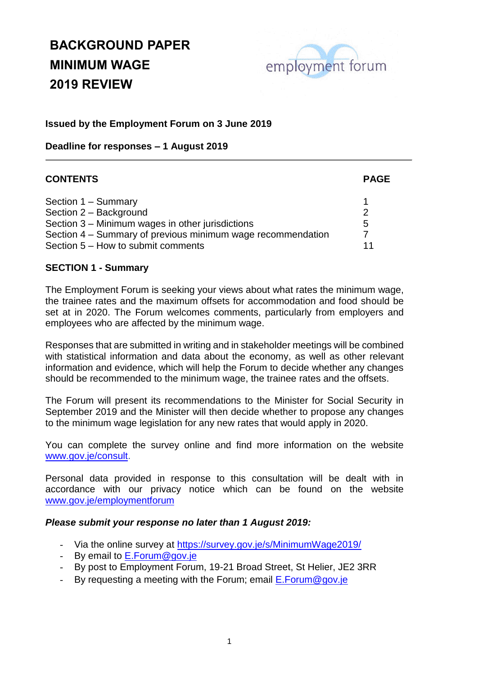

### **Issued by the Employment Forum on 3 June 2019**

**Deadline for responses – 1 August 2019**

| <b>CONTENTS</b>                                                                                   | <b>PAGE</b> |
|---------------------------------------------------------------------------------------------------|-------------|
| Section 1 - Summary<br>Section 2 - Background                                                     | 2           |
| Section 3 – Minimum wages in other jurisdictions                                                  | 5           |
| Section 4 – Summary of previous minimum wage recommendation<br>Section 5 – How to submit comments |             |

#### **SECTION 1 - Summary**

The Employment Forum is seeking your views about what rates the minimum wage, the trainee rates and the maximum offsets for accommodation and food should be set at in 2020. The Forum welcomes comments, particularly from employers and employees who are affected by the minimum wage.

Responses that are submitted in writing and in stakeholder meetings will be combined with statistical information and data about the economy, as well as other relevant information and evidence, which will help the Forum to decide whether any changes should be recommended to the minimum wage, the trainee rates and the offsets.

The Forum will present its recommendations to the Minister for Social Security in September 2019 and the Minister will then decide whether to propose any changes to the minimum wage legislation for any new rates that would apply in 2020.

You can complete the survey online and find more information on the website [www.gov.je/consult.](http://www.gov.je/minimumwagereview)

Personal data provided in response to this consultation will be dealt with in accordance with our privacy notice which can be found on the website [www.gov.je/employmentforum](http://www.gov.je/employmentforum)

### *Please submit your response no later than 1 August 2019:*

- Via the online survey at<https://survey.gov.je/s/MinimumWage2019/>
- By email to [E.Forum@gov.je](mailto:E.Forum@gov.je)
- By post to Employment Forum, 19-21 Broad Street, St Helier, JE2 3RR
- By requesting a meeting with the Forum; email [E.Forum@gov.je](mailto:E.Forum@gov.je)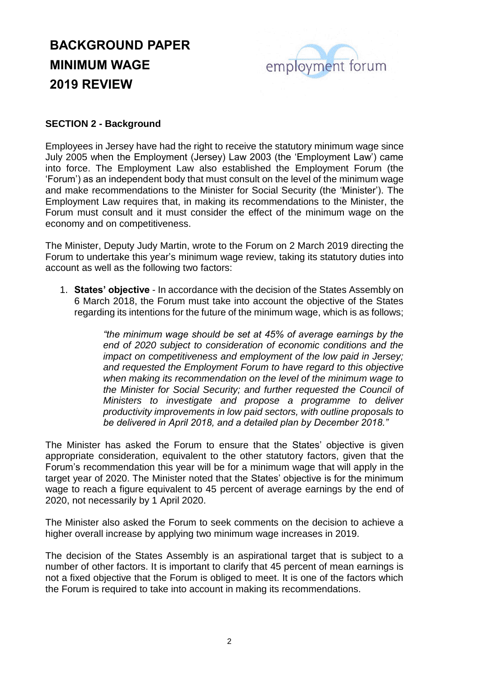

### **SECTION 2 - Background**

Employees in Jersey have had the right to receive the statutory minimum wage since July 2005 when the Employment (Jersey) Law 2003 (the 'Employment Law') came into force. The Employment Law also established the Employment Forum (the 'Forum') as an independent body that must consult on the level of the minimum wage and make recommendations to the Minister for Social Security (the 'Minister'). The Employment Law requires that, in making its recommendations to the Minister, the Forum must consult and it must consider the effect of the minimum wage on the economy and on competitiveness.

The Minister, Deputy Judy Martin, wrote to the Forum on 2 March 2019 directing the Forum to undertake this year's minimum wage review, taking its statutory duties into account as well as the following two factors:

1. **States' objective** - In accordance with the decision of the States Assembly on 6 March 2018, the Forum must take into account the objective of the States regarding its intentions for the future of the minimum wage, which is as follows;

> *"the minimum wage should be set at 45% of average earnings by the end of 2020 subject to consideration of economic conditions and the impact on competitiveness and employment of the low paid in Jersey; and requested the Employment Forum to have regard to this objective when making its recommendation on the level of the minimum wage to the Minister for Social Security; and further requested the Council of Ministers to investigate and propose a programme to deliver productivity improvements in low paid sectors, with outline proposals to be delivered in April 2018, and a detailed plan by December 2018."*

The Minister has asked the Forum to ensure that the States' objective is given appropriate consideration, equivalent to the other statutory factors, given that the Forum's recommendation this year will be for a minimum wage that will apply in the target year of 2020. The Minister noted that the States' objective is for the minimum wage to reach a figure equivalent to 45 percent of average earnings by the end of 2020, not necessarily by 1 April 2020.

The Minister also asked the Forum to seek comments on the decision to achieve a higher overall increase by applying two minimum wage increases in 2019.

The decision of the States Assembly is an aspirational target that is subject to a number of other factors. It is important to clarify that 45 percent of mean earnings is not a fixed objective that the Forum is obliged to meet. It is one of the factors which the Forum is required to take into account in making its recommendations.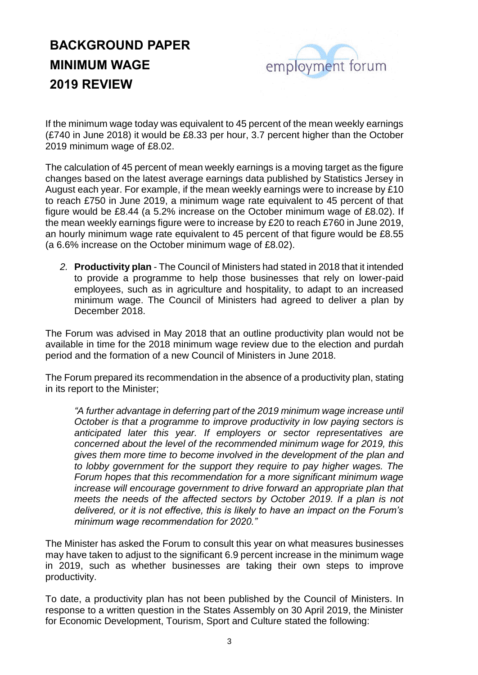

If the minimum wage today was equivalent to 45 percent of the mean weekly earnings (£740 in June 2018) it would be £8.33 per hour, 3.7 percent higher than the October 2019 minimum wage of £8.02.

The calculation of 45 percent of mean weekly earnings is a moving target as the figure changes based on the latest average earnings data published by Statistics Jersey in August each year. For example, if the mean weekly earnings were to increase by £10 to reach £750 in June 2019, a minimum wage rate equivalent to 45 percent of that figure would be £8.44 (a 5.2% increase on the October minimum wage of £8.02). If the mean weekly earnings figure were to increase by £20 to reach £760 in June 2019, an hourly minimum wage rate equivalent to 45 percent of that figure would be £8.55 (a 6.6% increase on the October minimum wage of £8.02).

*2.* **Productivity plan** - The Council of Ministers had stated in 2018 that it intended to provide a programme to help those businesses that rely on lower-paid employees, such as in agriculture and hospitality, to adapt to an increased minimum wage. The Council of Ministers had agreed to deliver a plan by December 2018.

The Forum was advised in May 2018 that an outline productivity plan would not be available in time for the 2018 minimum wage review due to the election and purdah period and the formation of a new Council of Ministers in June 2018.

The Forum prepared its recommendation in the absence of a productivity plan, stating in its report to the Minister;

*"A further advantage in deferring part of the 2019 minimum wage increase until October is that a programme to improve productivity in low paying sectors is anticipated later this year. If employers or sector representatives are concerned about the level of the recommended minimum wage for 2019, this gives them more time to become involved in the development of the plan and to lobby government for the support they require to pay higher wages. The Forum hopes that this recommendation for a more significant minimum wage increase will encourage government to drive forward an appropriate plan that meets the needs of the affected sectors by October 2019. If a plan is not delivered, or it is not effective, this is likely to have an impact on the Forum's minimum wage recommendation for 2020."*

The Minister has asked the Forum to consult this year on what measures businesses may have taken to adjust to the significant 6.9 percent increase in the minimum wage in 2019, such as whether businesses are taking their own steps to improve productivity.

To date, a productivity plan has not been published by the Council of Ministers. In response to a written question in the States Assembly on 30 April 2019, the Minister for Economic Development, Tourism, Sport and Culture stated the following: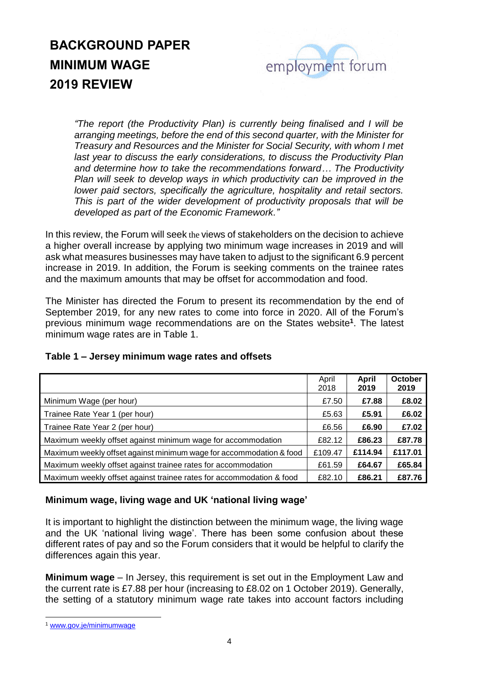

*"The report (the Productivity Plan) is currently being finalised and I will be arranging meetings, before the end of this second quarter, with the Minister for Treasury and Resources and the Minister for Social Security, with whom I met last year to discuss the early considerations, to discuss the Productivity Plan and determine how to take the recommendations forward… The Productivity Plan will seek to develop ways in which productivity can be improved in the lower paid sectors, specifically the agriculture, hospitality and retail sectors. This is part of the wider development of productivity proposals that will be developed as part of the Economic Framework."*

In this review, the Forum will seek the views of stakeholders on the decision to achieve a higher overall increase by applying two minimum wage increases in 2019 and will ask what measures businesses may have taken to adjust to the significant 6.9 percent increase in 2019. In addition, the Forum is seeking comments on the trainee rates and the maximum amounts that may be offset for accommodation and food.

The Minister has directed the Forum to present its recommendation by the end of September 2019, for any new rates to come into force in 2020. All of the Forum's previous minimum wage recommendations are on the States website**<sup>1</sup>** . The latest minimum wage rates are in Table 1.

|                                                                      | April  | April   | October |
|----------------------------------------------------------------------|--------|---------|---------|
|                                                                      | 2018   | 2019    | 2019    |
| Minimum Wage (per hour)                                              | £7.50  | £7.88   | £8.02   |
| Trainee Rate Year 1 (per hour)                                       | £5.63  | £5.91   | £6.02   |
| Trainee Rate Year 2 (per hour)                                       |        | £6.90   | £7.02   |
| Maximum weekly offset against minimum wage for accommodation         | £82.12 | £86.23  | £87.78  |
| Maximum weekly offset against minimum wage for accommodation & food  |        | £114.94 | £117.01 |
| Maximum weekly offset against trainee rates for accommodation        | £61.59 | £64.67  | £65.84  |
| Maximum weekly offset against trainee rates for accommodation & food | £82.10 | £86.21  | £87.76  |

### **Table 1 – Jersey minimum wage rates and offsets**

### **Minimum wage, living wage and UK 'national living wage'**

It is important to highlight the distinction between the minimum wage, the living wage and the UK 'national living wage'. There has been some confusion about these different rates of pay and so the Forum considers that it would be helpful to clarify the differences again this year.

**Minimum wage** – In Jersey, this requirement is set out in the Employment Law and the current rate is £7.88 per hour (increasing to £8.02 on 1 October 2019). Generally, the setting of a statutory minimum wage rate takes into account factors including

-

<sup>1</sup> [www.gov.je/minimumwage](http://www.gov.je/minimumwage)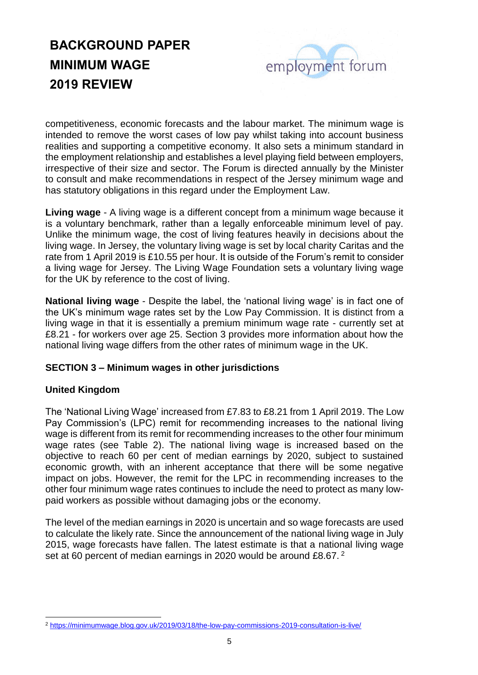

competitiveness, economic forecasts and the labour market. The minimum wage is intended to remove the worst cases of low pay whilst taking into account business realities and supporting a competitive economy. It also sets a minimum standard in the employment relationship and establishes a level playing field between employers, irrespective of their size and sector. The Forum is directed annually by the Minister to consult and make recommendations in respect of the Jersey minimum wage and has statutory obligations in this regard under the Employment Law.

**Living wage** - A living wage is a different concept from a minimum wage because it is a voluntary benchmark, rather than a legally enforceable minimum level of pay. Unlike the minimum wage, the cost of living features heavily in decisions about the living wage. In Jersey, the voluntary living wage is set by local charity Caritas and the rate from 1 April 2019 is £10.55 per hour. It is outside of the Forum's remit to consider a living wage for Jersey. The Living Wage Foundation sets a voluntary living wage for the UK by reference to the cost of living.

**National living wage** - Despite the label, the 'national living wage' is in fact one of the UK's minimum wage rates set by the Low Pay Commission. It is distinct from a living wage in that it is essentially a premium minimum wage rate - currently set at £8.21 - for workers over age 25. Section 3 provides more information about how the national living wage differs from the other rates of minimum wage in the UK.

### **SECTION 3 – Minimum wages in other jurisdictions**

### **United Kingdom**

The 'National Living Wage' increased from £7.83 to £8.21 from 1 April 2019. The Low Pay Commission's (LPC) remit for recommending increases to the national living wage is different from its remit for recommending increases to the other four minimum wage rates (see Table 2). The national living wage is increased based on the objective to reach 60 per cent of median earnings by 2020, subject to sustained economic growth, with an inherent acceptance that there will be some negative impact on jobs. However, the remit for the LPC in recommending increases to the other four minimum wage rates continues to include the need to protect as many lowpaid workers as possible without damaging jobs or the economy.

The level of the median earnings in 2020 is uncertain and so wage forecasts are used to calculate the likely rate. Since the announcement of the national living wage in July 2015, wage forecasts have fallen. The latest estimate is that a national living wage set at 60 percent of median earnings in 2020 would be around £8.67.<sup>2</sup>

<sup>-</sup><sup>2</sup> <https://minimumwage.blog.gov.uk/2019/03/18/the-low-pay-commissions-2019-consultation-is-live/>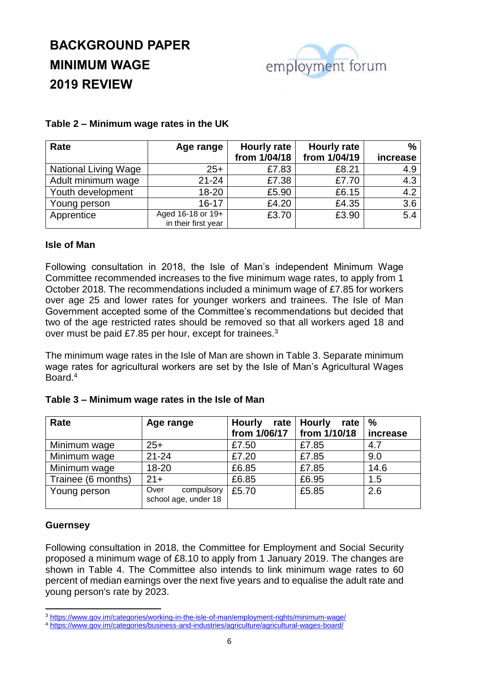

#### **Table 2 – Minimum wage rates in the UK**

| Rate                        | Age range                                | <b>Hourly rate</b> | <b>Hourly rate</b> | $\frac{0}{0}$    |
|-----------------------------|------------------------------------------|--------------------|--------------------|------------------|
|                             |                                          | from 1/04/18       | from 1/04/19       | increase         |
| <b>National Living Wage</b> | $25+$                                    | £7.83              | £8.21              | 4.9              |
| Adult minimum wage          | $21 - 24$                                | £7.38              | £7.70              | 4.3              |
| Youth development           | $18 - 20$                                | £5.90              | £6.15              | 4.2              |
| Young person                | $16 - 17$                                | £4.20              | £4.35              | 3.6              |
| Apprentice                  | Aged 16-18 or 19+<br>in their first year | £3.70              | £3.90              | $\overline{5.4}$ |

### **Isle of Man**

Following consultation in 2018, the Isle of Man's independent Minimum Wage Committee recommended increases to the five minimum wage rates, to apply from 1 October 2018. The recommendations included a minimum wage of £7.85 for workers over age 25 and lower rates for younger workers and trainees. The Isle of Man Government accepted some of the Committee's recommendations but decided that two of the age restricted rates should be removed so that all workers aged 18 and over must be paid £7.85 per hour, except for trainees.<sup>3</sup>

The minimum wage rates in the Isle of Man are shown in Table 3. Separate minimum wage rates for agricultural workers are set by the Isle of Man's Agricultural Wages Board.<sup>4</sup>

| Rate               | Age range                                  | <b>Hourly</b><br>rate | <b>Hourly</b><br>rate | $\frac{0}{0}$ |
|--------------------|--------------------------------------------|-----------------------|-----------------------|---------------|
|                    |                                            | from 1/06/17          | from 1/10/18          | increase      |
| Minimum wage       | $25+$                                      | £7.50                 | £7.85                 | 4.7           |
| Minimum wage       | $21 - 24$                                  | £7.20                 | £7.85                 | 9.0           |
| Minimum wage       | 18-20                                      | £6.85                 | £7.85                 | 14.6          |
| Trainee (6 months) | $21+$                                      | £6.85                 | £6.95                 | 1.5           |
| Young person       | Over<br>compulsory<br>school age, under 18 | £5.70                 | £5.85                 | 2.6           |

#### **Table 3 – Minimum wage rates in the Isle of Man**

#### **Guernsey**

1

Following consultation in 2018, the Committee for Employment and Social Security proposed a minimum wage of £8.10 to apply from 1 January 2019. The changes are shown in Table 4. The Committee also intends to link minimum wage rates to 60 percent of median earnings over the next five years and to equalise the adult rate and young person's rate by 2023.

<sup>3</sup> <https://www.gov.im/categories/working-in-the-isle-of-man/employment-rights/minimum-wage/>

<sup>4</sup> <https://www.gov.im/categories/business-and-industries/agriculture/agricultural-wages-board/>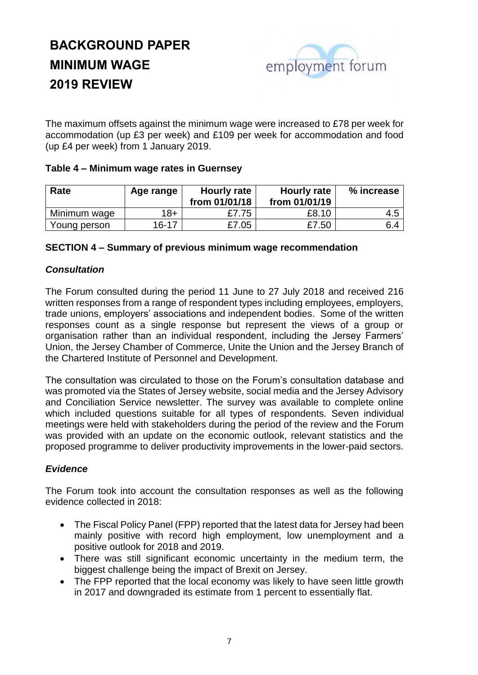

The maximum offsets against the minimum wage were increased to £78 per week for accommodation (up £3 per week) and £109 per week for accommodation and food (up £4 per week) from 1 January 2019.

### **Table 4 – Minimum wage rates in Guernsey**

| Rate         | Age range | Hourly rate<br>from 01/01/18 | Hourly rate<br>from 01/01/19 | % increase |
|--------------|-----------|------------------------------|------------------------------|------------|
| Minimum wage | $18+$     | £7.75                        | £8.10                        | 4.5        |
| Young person | $16 - 17$ | £7.05                        | £7.50                        | 6.4        |

### **SECTION 4 – Summary of previous minimum wage recommendation**

### *Consultation*

The Forum consulted during the period 11 June to 27 July 2018 and received 216 written responses from a range of respondent types including employees, employers, trade unions, employers' associations and independent bodies. Some of the written responses count as a single response but represent the views of a group or organisation rather than an individual respondent, including the Jersey Farmers' Union, the Jersey Chamber of Commerce, Unite the Union and the Jersey Branch of the Chartered Institute of Personnel and Development.

The consultation was circulated to those on the Forum's consultation database and was promoted via the States of Jersey website, social media and the Jersey Advisory and Conciliation Service newsletter. The survey was available to complete online which included questions suitable for all types of respondents. Seven individual meetings were held with stakeholders during the period of the review and the Forum was provided with an update on the economic outlook, relevant statistics and the proposed programme to deliver productivity improvements in the lower-paid sectors.

### *Evidence*

The Forum took into account the consultation responses as well as the following evidence collected in 2018:

- The Fiscal Policy Panel (FPP) reported that the latest data for Jersey had been mainly positive with record high employment, low unemployment and a positive outlook for 2018 and 2019.
- There was still significant economic uncertainty in the medium term, the biggest challenge being the impact of Brexit on Jersey.
- The FPP reported that the local economy was likely to have seen little growth in 2017 and downgraded its estimate from 1 percent to essentially flat.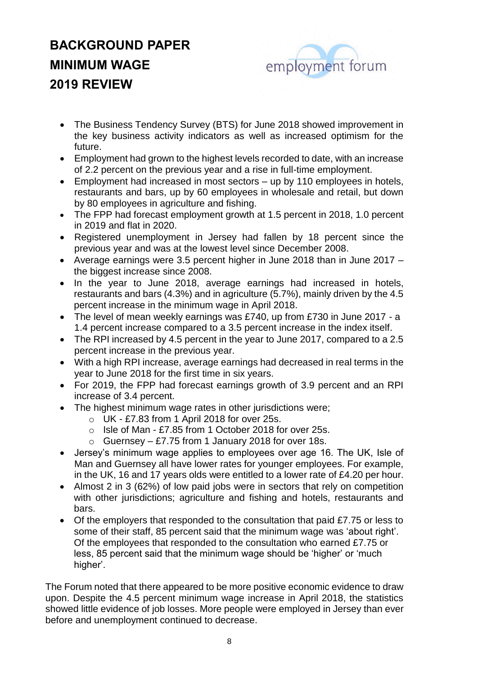

- The Business Tendency Survey (BTS) for June 2018 showed improvement in the key business activity indicators as well as increased optimism for the future.
- Employment had grown to the highest levels recorded to date, with an increase of 2.2 percent on the previous year and a rise in full-time employment.
- Employment had increased in most sectors up by 110 employees in hotels, restaurants and bars, up by 60 employees in wholesale and retail, but down by 80 employees in agriculture and fishing.
- The FPP had forecast employment growth at 1.5 percent in 2018, 1.0 percent in 2019 and flat in 2020.
- Registered unemployment in Jersey had fallen by 18 percent since the previous year and was at the lowest level since December 2008.
- Average earnings were 3.5 percent higher in June 2018 than in June 2017 the biggest increase since 2008.
- In the year to June 2018, average earnings had increased in hotels, restaurants and bars (4.3%) and in agriculture (5.7%), mainly driven by the 4.5 percent increase in the minimum wage in April 2018.
- The level of mean weekly earnings was £740, up from £730 in June 2017 a 1.4 percent increase compared to a 3.5 percent increase in the index itself.
- The RPI increased by 4.5 percent in the year to June 2017, compared to a 2.5 percent increase in the previous year.
- With a high RPI increase, average earnings had decreased in real terms in the year to June 2018 for the first time in six years.
- For 2019, the FPP had forecast earnings growth of 3.9 percent and an RPI increase of 3.4 percent.
- The highest minimum wage rates in other jurisdictions were;
	- o UK £7.83 from 1 April 2018 for over 25s.
	- o Isle of Man £7.85 from 1 October 2018 for over 25s.
	- o Guernsey £7.75 from 1 January 2018 for over 18s.
- Jersey's minimum wage applies to employees over age 16. The UK, Isle of Man and Guernsey all have lower rates for younger employees. For example, in the UK, 16 and 17 years olds were entitled to a lower rate of £4.20 per hour.
- Almost 2 in 3 (62%) of low paid jobs were in sectors that rely on competition with other jurisdictions; agriculture and fishing and hotels, restaurants and bars.
- Of the employers that responded to the consultation that paid £7.75 or less to some of their staff, 85 percent said that the minimum wage was 'about right'. Of the employees that responded to the consultation who earned £7.75 or less, 85 percent said that the minimum wage should be 'higher' or 'much higher'.

The Forum noted that there appeared to be more positive economic evidence to draw upon. Despite the 4.5 percent minimum wage increase in April 2018, the statistics showed little evidence of job losses. More people were employed in Jersey than ever before and unemployment continued to decrease.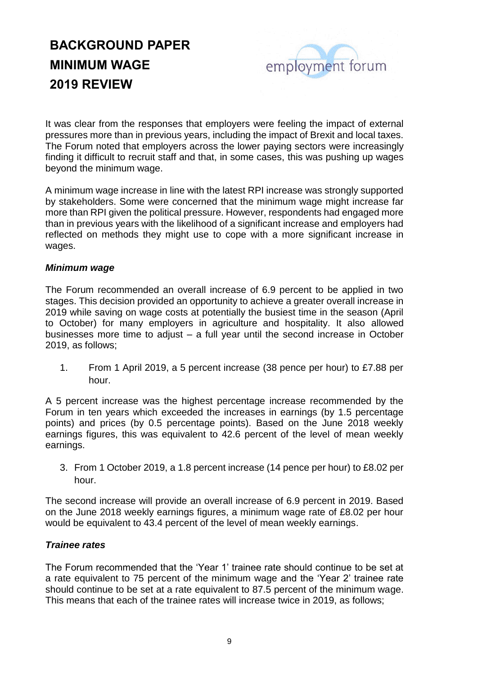

It was clear from the responses that employers were feeling the impact of external pressures more than in previous years, including the impact of Brexit and local taxes. The Forum noted that employers across the lower paying sectors were increasingly finding it difficult to recruit staff and that, in some cases, this was pushing up wages beyond the minimum wage.

A minimum wage increase in line with the latest RPI increase was strongly supported by stakeholders. Some were concerned that the minimum wage might increase far more than RPI given the political pressure. However, respondents had engaged more than in previous years with the likelihood of a significant increase and employers had reflected on methods they might use to cope with a more significant increase in wages.

### *Minimum wage*

The Forum recommended an overall increase of 6.9 percent to be applied in two stages. This decision provided an opportunity to achieve a greater overall increase in 2019 while saving on wage costs at potentially the busiest time in the season (April to October) for many employers in agriculture and hospitality. It also allowed businesses more time to adjust – a full year until the second increase in October 2019, as follows;

1. From 1 April 2019, a 5 percent increase (38 pence per hour) to £7.88 per hour.

A 5 percent increase was the highest percentage increase recommended by the Forum in ten years which exceeded the increases in earnings (by 1.5 percentage points) and prices (by 0.5 percentage points). Based on the June 2018 weekly earnings figures, this was equivalent to 42.6 percent of the level of mean weekly earnings.

3. From 1 October 2019, a 1.8 percent increase (14 pence per hour) to £8.02 per hour.

The second increase will provide an overall increase of 6.9 percent in 2019. Based on the June 2018 weekly earnings figures, a minimum wage rate of £8.02 per hour would be equivalent to 43.4 percent of the level of mean weekly earnings.

### *Trainee rates*

The Forum recommended that the 'Year 1' trainee rate should continue to be set at a rate equivalent to 75 percent of the minimum wage and the 'Year 2' trainee rate should continue to be set at a rate equivalent to 87.5 percent of the minimum wage. This means that each of the trainee rates will increase twice in 2019, as follows;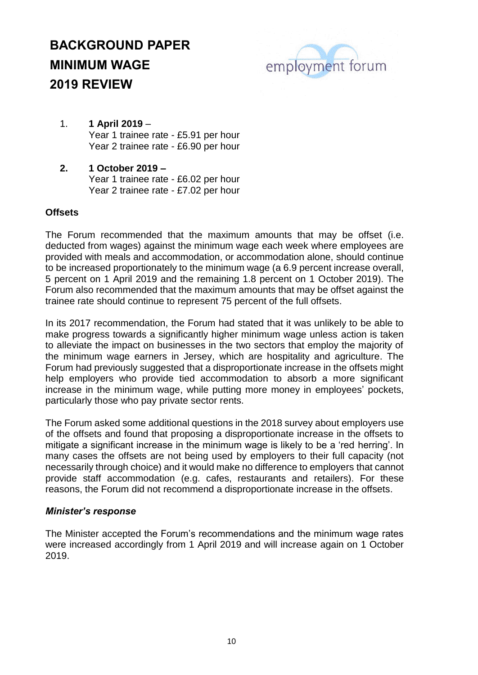

- 1. **1 April 2019** Year 1 trainee rate - £5.91 per hour Year 2 trainee rate - £6.90 per hour
- **2. 1 October 2019 –** Year 1 trainee rate - £6.02 per hour Year 2 trainee rate - £7.02 per hour

### **Offsets**

The Forum recommended that the maximum amounts that may be offset (i.e. deducted from wages) against the minimum wage each week where employees are provided with meals and accommodation, or accommodation alone, should continue to be increased proportionately to the minimum wage (a 6.9 percent increase overall, 5 percent on 1 April 2019 and the remaining 1.8 percent on 1 October 2019). The Forum also recommended that the maximum amounts that may be offset against the trainee rate should continue to represent 75 percent of the full offsets.

In its 2017 recommendation, the Forum had stated that it was unlikely to be able to make progress towards a significantly higher minimum wage unless action is taken to alleviate the impact on businesses in the two sectors that employ the majority of the minimum wage earners in Jersey, which are hospitality and agriculture. The Forum had previously suggested that a disproportionate increase in the offsets might help employers who provide tied accommodation to absorb a more significant increase in the minimum wage, while putting more money in employees' pockets, particularly those who pay private sector rents.

The Forum asked some additional questions in the 2018 survey about employers use of the offsets and found that proposing a disproportionate increase in the offsets to mitigate a significant increase in the minimum wage is likely to be a 'red herring'. In many cases the offsets are not being used by employers to their full capacity (not necessarily through choice) and it would make no difference to employers that cannot provide staff accommodation (e.g. cafes, restaurants and retailers). For these reasons, the Forum did not recommend a disproportionate increase in the offsets.

### *Minister's response*

The Minister accepted the Forum's recommendations and the minimum wage rates were increased accordingly from 1 April 2019 and will increase again on 1 October 2019.